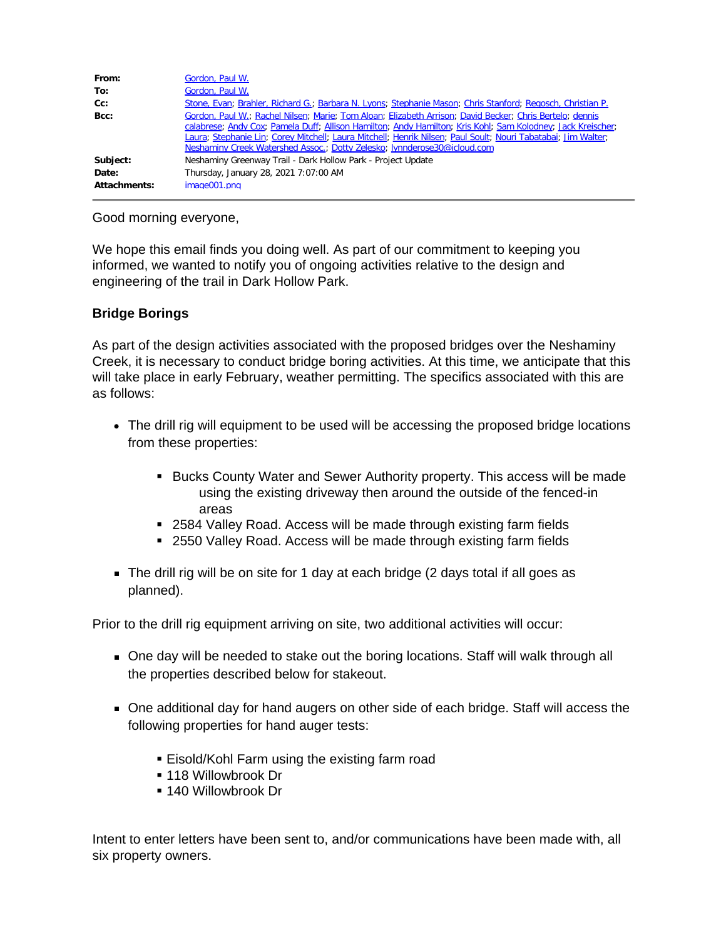| From:        | Gordon, Paul W.                                                                                                                                                                                                                                                                                                                                                                                                      |
|--------------|----------------------------------------------------------------------------------------------------------------------------------------------------------------------------------------------------------------------------------------------------------------------------------------------------------------------------------------------------------------------------------------------------------------------|
| To:          | Gordon, Paul W.                                                                                                                                                                                                                                                                                                                                                                                                      |
| $Cc$ :       | Stone, Evan; Brahler, Richard G.; Barbara N. Lyons; Stephanie Mason; Chris Stanford; Regosch, Christian P.                                                                                                                                                                                                                                                                                                           |
| Bcc:         | Gordon, Paul W.; Rachel Nilsen; Marie; Tom Aloan; Elizabeth Arrison; David Becker; Chris Bertelo; dennis<br>calabrese; Andy Cox; Pamela Duff; Allison Hamilton; Andy Hamilton; Kris Kohl; Sam Kolodney; Jack Kreischer;<br>Laura; Stephanie Lin; Corey Mitchell; Laura Mitchell; Henrik Nilsen; Paul Soult; Nouri Tabatabai; Jim Walter;<br>Neshaminy Creek Watershed Assoc.; Dotty Zelesko; lynnderose30@icloud.com |
| Subject:     | Neshaminy Greenway Trail - Dark Hollow Park - Project Update                                                                                                                                                                                                                                                                                                                                                         |
| Date:        | Thursday, January 28, 2021 7:07:00 AM                                                                                                                                                                                                                                                                                                                                                                                |
| Attachments: | image001.png                                                                                                                                                                                                                                                                                                                                                                                                         |

## Good morning everyone,

We hope this email finds you doing well. As part of our commitment to keeping you informed, we wanted to notify you of ongoing activities relative to the design and engineering of the trail in Dark Hollow Park.

## **Bridge Borings**

As part of the design activities associated with the proposed bridges over the Neshaminy Creek, it is necessary to conduct bridge boring activities. At this time, we anticipate that this will take place in early February, weather permitting. The specifics associated with this are as follows:

- The drill rig will equipment to be used will be accessing the proposed bridge locations from these properties:
	- § Bucks County Water and Sewer Authority property. This access will be made using the existing driveway then around the outside of the fenced-in areas
	- § 2584 Valley Road. Access will be made through existing farm fields
	- 2550 Valley Road. Access will be made through existing farm fields
- The drill rig will be on site for 1 day at each bridge (2 days total if all goes as planned).

Prior to the drill rig equipment arriving on site, two additional activities will occur:

- One day will be needed to stake out the boring locations. Staff will walk through all the properties described below for stakeout.
- One additional day for hand augers on other side of each bridge. Staff will access the following properties for hand auger tests:
	- Eisold/Kohl Farm using the existing farm road
	- § 118 Willowbrook Dr
	- § 140 Willowbrook Dr

Intent to enter letters have been sent to, and/or communications have been made with, all six property owners.